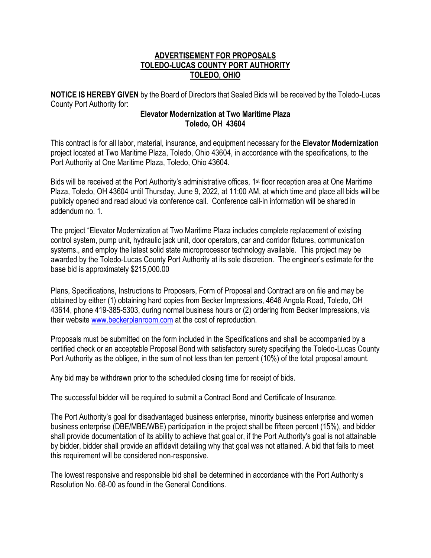## **ADVERTISEMENT FOR PROPOSALS TOLEDO-LUCAS COUNTY PORT AUTHORITY TOLEDO, OHIO**

**NOTICE IS HEREBY GIVEN** by the Board of Directors that Sealed Bids will be received by the Toledo-Lucas County Port Authority for:

## **Elevator Modernization at Two Maritime Plaza Toledo, OH 43604**

This contract is for all labor, material, insurance, and equipment necessary for the **Elevator Modernization**  project located at Two Maritime Plaza, Toledo, Ohio 43604, in accordance with the specifications, to the Port Authority at One Maritime Plaza, Toledo, Ohio 43604.

Bids will be received at the Port Authority's administrative offices, 1<sup>st</sup> floor reception area at One Maritime Plaza, Toledo, OH 43604 until Thursday, June 9, 2022, at 11:00 AM, at which time and place all bids will be publicly opened and read aloud via conference call. Conference call-in information will be shared in addendum no. 1.

The project "Elevator Modernization at Two Maritime Plaza includes complete replacement of existing control system, pump unit, hydraulic jack unit, door operators, car and corridor fixtures, communication systems., and employ the latest solid state microprocessor technology available. This project may be awarded by the Toledo-Lucas County Port Authority at its sole discretion. The engineer's estimate for the base bid is approximately \$215,000.00

Plans, Specifications, Instructions to Proposers, Form of Proposal and Contract are on file and may be obtained by either (1) obtaining hard copies from Becker Impressions, 4646 Angola Road, Toledo, OH 43614, phone 419-385-5303, during normal business hours or (2) ordering from Becker Impressions, via their website [www.beckerplanroom.com](http://www.beckerplanroom.com/) at the cost of reproduction.

Proposals must be submitted on the form included in the Specifications and shall be accompanied by a certified check or an acceptable Proposal Bond with satisfactory surety specifying the Toledo-Lucas County Port Authority as the obligee, in the sum of not less than ten percent (10%) of the total proposal amount.

Any bid may be withdrawn prior to the scheduled closing time for receipt of bids.

The successful bidder will be required to submit a Contract Bond and Certificate of Insurance.

The Port Authority's goal for disadvantaged business enterprise, minority business enterprise and women business enterprise (DBE/MBE/WBE) participation in the project shall be fifteen percent (15%), and bidder shall provide documentation of its ability to achieve that goal or, if the Port Authority's goal is not attainable by bidder, bidder shall provide an affidavit detailing why that goal was not attained. A bid that fails to meet this requirement will be considered non-responsive.

The lowest responsive and responsible bid shall be determined in accordance with the Port Authority's Resolution No. 68-00 as found in the General Conditions.